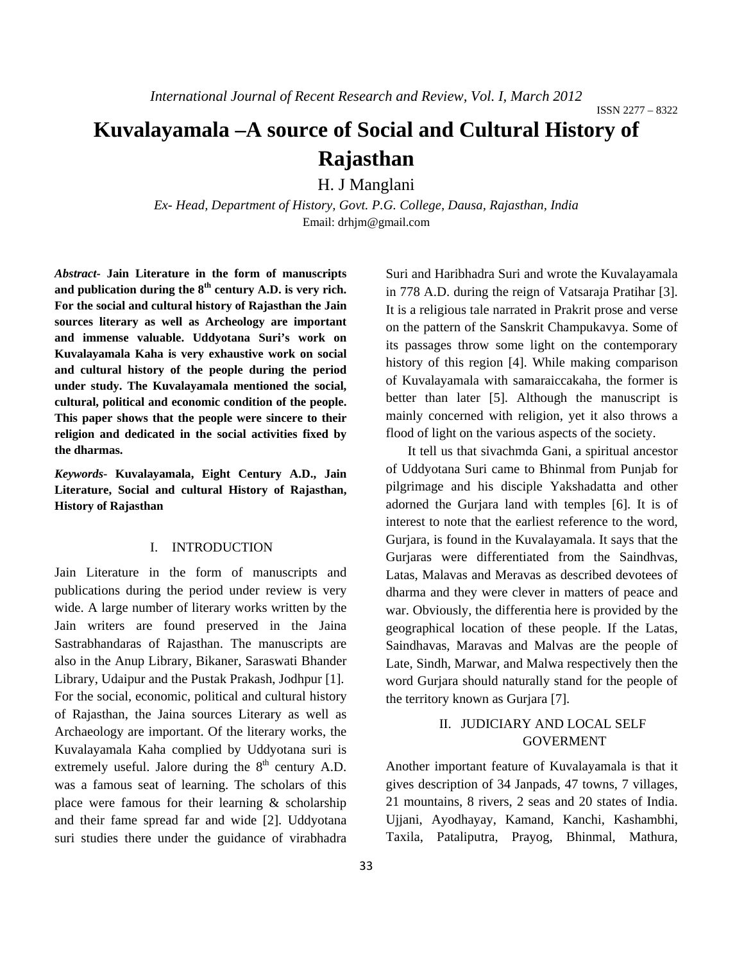# **Kuvalayamala –A source of Social and Cultural History of Rajasthan**

H. J Manglani

*Ex- Head, Department of History, Govt. P.G. College, Dausa, Rajasthan, India*  Email: drhjm@gmail.com

*Abstract***- Jain Literature in the form of manuscripts and publication during the 8th century A.D. is very rich. For the social and cultural history of Rajasthan the Jain sources literary as well as Archeology are important and immense valuable. Uddyotana Suri's work on Kuvalayamala Kaha is very exhaustive work on social and cultural history of the people during the period under study. The Kuvalayamala mentioned the social, cultural, political and economic condition of the people. This paper shows that the people were sincere to their religion and dedicated in the social activities fixed by the dharmas.** 

*Keywords***- Kuvalayamala, Eight Century A.D., Jain Literature, Social and cultural History of Rajasthan, History of Rajasthan**

### I. INTRODUCTION

Jain Literature in the form of manuscripts and publications during the period under review is very wide. A large number of literary works written by the Jain writers are found preserved in the Jaina Sastrabhandaras of Rajasthan. The manuscripts are also in the Anup Library, Bikaner, Saraswati Bhander Library, Udaipur and the Pustak Prakash, Jodhpur [1]. For the social, economic, political and cultural history of Rajasthan, the Jaina sources Literary as well as Archaeology are important. Of the literary works, the Kuvalayamala Kaha complied by Uddyotana suri is extremely useful. Jalore during the  $8<sup>th</sup>$  century A.D. was a famous seat of learning. The scholars of this place were famous for their learning & scholarship and their fame spread far and wide [2]. Uddyotana suri studies there under the guidance of virabhadra

Suri and Haribhadra Suri and wrote the Kuvalayamala in 778 A.D. during the reign of Vatsaraja Pratihar [3]. It is a religious tale narrated in Prakrit prose and verse on the pattern of the Sanskrit Champukavya. Some of its passages throw some light on the contemporary history of this region [4]. While making comparison of Kuvalayamala with samaraiccakaha, the former is better than later [5]. Although the manuscript is mainly concerned with religion, yet it also throws a flood of light on the various aspects of the society.

It tell us that sivachmda Gani, a spiritual ancestor of Uddyotana Suri came to Bhinmal from Punjab for pilgrimage and his disciple Yakshadatta and other adorned the Gurjara land with temples [6]. It is of interest to note that the earliest reference to the word, Gurjara, is found in the Kuvalayamala. It says that the Gurjaras were differentiated from the Saindhvas, Latas, Malavas and Meravas as described devotees of dharma and they were clever in matters of peace and war. Obviously, the differentia here is provided by the geographical location of these people. If the Latas, Saindhavas, Maravas and Malvas are the people of Late, Sindh, Marwar, and Malwa respectively then the word Gurjara should naturally stand for the people of the territory known as Gurjara [7].

## II. JUDICIARY AND LOCAL SELF GOVERMENT

Another important feature of Kuvalayamala is that it gives description of 34 Janpads, 47 towns, 7 villages, 21 mountains, 8 rivers, 2 seas and 20 states of India. Ujjani, Ayodhayay, Kamand, Kanchi, Kashambhi, Taxila, Pataliputra, Prayog, Bhinmal, Mathura,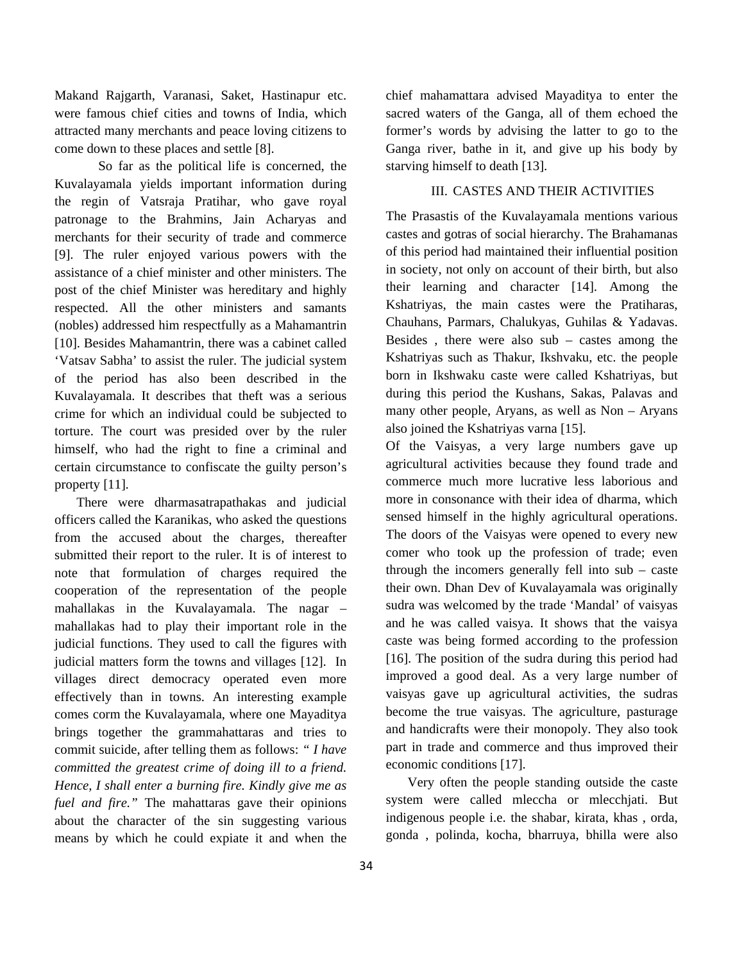Makand Rajgarth, Varanasi, Saket, Hastinapur etc. were famous chief cities and towns of India, which attracted many merchants and peace loving citizens to come down to these places and settle [8].

So far as the political life is concerned, the Kuvalayamala yields important information during the regin of Vatsraja Pratihar, who gave royal patronage to the Brahmins, Jain Acharyas and merchants for their security of trade and commerce [9]. The ruler enjoyed various powers with the assistance of a chief minister and other ministers. The post of the chief Minister was hereditary and highly respected. All the other ministers and samants (nobles) addressed him respectfully as a Mahamantrin [10]. Besides Mahamantrin, there was a cabinet called 'Vatsav Sabha' to assist the ruler. The judicial system of the period has also been described in the Kuvalayamala. It describes that theft was a serious crime for which an individual could be subjected to torture. The court was presided over by the ruler himself, who had the right to fine a criminal and certain circumstance to confiscate the guilty person's property [11].

There were dharmasatrapathakas and judicial officers called the Karanikas, who asked the questions from the accused about the charges, thereafter submitted their report to the ruler. It is of interest to note that formulation of charges required the cooperation of the representation of the people mahallakas in the Kuvalayamala. The nagar – mahallakas had to play their important role in the judicial functions. They used to call the figures with judicial matters form the towns and villages [12]. In villages direct democracy operated even more effectively than in towns. An interesting example comes corm the Kuvalayamala, where one Mayaditya brings together the grammahattaras and tries to commit suicide, after telling them as follows: *" I have committed the greatest crime of doing ill to a friend. Hence, I shall enter a burning fire. Kindly give me as fuel and fire."* The mahattaras gave their opinions about the character of the sin suggesting various means by which he could expiate it and when the

chief mahamattara advised Mayaditya to enter the sacred waters of the Ganga, all of them echoed the former's words by advising the latter to go to the Ganga river, bathe in it, and give up his body by starving himself to death [13].

## III. CASTES AND THEIR ACTIVITIES

The Prasastis of the Kuvalayamala mentions various castes and gotras of social hierarchy. The Brahamanas of this period had maintained their influential position in society, not only on account of their birth, but also their learning and character [14]. Among the Kshatriyas, the main castes were the Pratiharas, Chauhans, Parmars, Chalukyas, Guhilas & Yadavas. Besides , there were also sub – castes among the Kshatriyas such as Thakur, Ikshvaku, etc. the people born in Ikshwaku caste were called Kshatriyas, but during this period the Kushans, Sakas, Palavas and many other people, Aryans, as well as Non – Aryans also joined the Kshatriyas varna [15].

Of the Vaisyas, a very large numbers gave up agricultural activities because they found trade and commerce much more lucrative less laborious and more in consonance with their idea of dharma, which sensed himself in the highly agricultural operations. The doors of the Vaisyas were opened to every new comer who took up the profession of trade; even through the incomers generally fell into sub – caste their own. Dhan Dev of Kuvalayamala was originally sudra was welcomed by the trade 'Mandal' of vaisyas and he was called vaisya. It shows that the vaisya caste was being formed according to the profession [16]. The position of the sudra during this period had improved a good deal. As a very large number of vaisyas gave up agricultural activities, the sudras become the true vaisyas. The agriculture, pasturage and handicrafts were their monopoly. They also took part in trade and commerce and thus improved their economic conditions [17].

Very often the people standing outside the caste system were called mleccha or mlecchjati. But indigenous people i.e. the shabar, kirata, khas , orda, gonda , polinda, kocha, bharruya, bhilla were also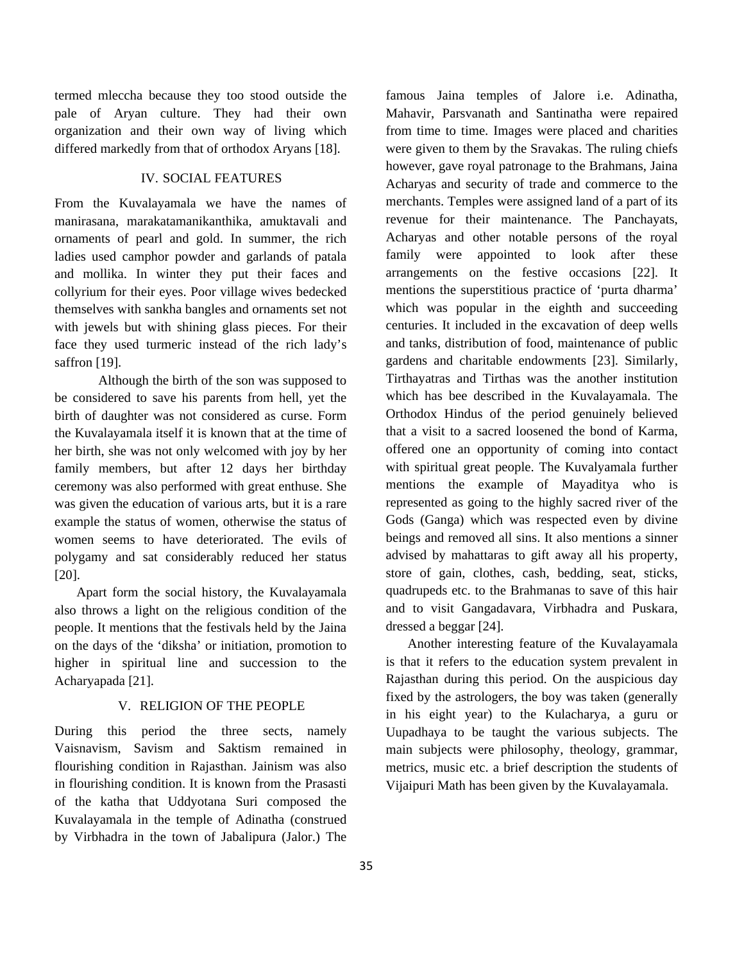termed mleccha because they too stood outside the pale of Aryan culture. They had their own organization and their own way of living which differed markedly from that of orthodox Aryans [18].

## IV. SOCIAL FEATURES

From the Kuvalayamala we have the names of manirasana, marakatamanikanthika, amuktavali and ornaments of pearl and gold. In summer, the rich ladies used camphor powder and garlands of patala and mollika. In winter they put their faces and collyrium for their eyes. Poor village wives bedecked themselves with sankha bangles and ornaments set not with jewels but with shining glass pieces. For their face they used turmeric instead of the rich lady's saffron [19].

Although the birth of the son was supposed to be considered to save his parents from hell, yet the birth of daughter was not considered as curse. Form the Kuvalayamala itself it is known that at the time of her birth, she was not only welcomed with joy by her family members, but after 12 days her birthday ceremony was also performed with great enthuse. She was given the education of various arts, but it is a rare example the status of women, otherwise the status of women seems to have deteriorated. The evils of polygamy and sat considerably reduced her status [20].

Apart form the social history, the Kuvalayamala also throws a light on the religious condition of the people. It mentions that the festivals held by the Jaina on the days of the 'diksha' or initiation, promotion to higher in spiritual line and succession to the Acharyapada [21].

## V. RELIGION OF THE PEOPLE

During this period the three sects, namely Vaisnavism, Savism and Saktism remained in flourishing condition in Rajasthan. Jainism was also in flourishing condition. It is known from the Prasasti of the katha that Uddyotana Suri composed the Kuvalayamala in the temple of Adinatha (construed by Virbhadra in the town of Jabalipura (Jalor.) The

famous Jaina temples of Jalore i.e. Adinatha, Mahavir, Parsvanath and Santinatha were repaired from time to time. Images were placed and charities were given to them by the Sravakas. The ruling chiefs however, gave royal patronage to the Brahmans, Jaina Acharyas and security of trade and commerce to the merchants. Temples were assigned land of a part of its revenue for their maintenance. The Panchayats, Acharyas and other notable persons of the royal family were appointed to look after these arrangements on the festive occasions [22]. It mentions the superstitious practice of 'purta dharma' which was popular in the eighth and succeeding centuries. It included in the excavation of deep wells and tanks, distribution of food, maintenance of public gardens and charitable endowments [23]. Similarly, Tirthayatras and Tirthas was the another institution which has bee described in the Kuvalayamala. The Orthodox Hindus of the period genuinely believed that a visit to a sacred loosened the bond of Karma, offered one an opportunity of coming into contact with spiritual great people. The Kuvalyamala further mentions the example of Mayaditya who is represented as going to the highly sacred river of the Gods (Ganga) which was respected even by divine beings and removed all sins. It also mentions a sinner advised by mahattaras to gift away all his property, store of gain, clothes, cash, bedding, seat, sticks, quadrupeds etc. to the Brahmanas to save of this hair and to visit Gangadavara, Virbhadra and Puskara, dressed a beggar [24].

Another interesting feature of the Kuvalayamala is that it refers to the education system prevalent in Rajasthan during this period. On the auspicious day fixed by the astrologers, the boy was taken (generally in his eight year) to the Kulacharya, a guru or Uupadhaya to be taught the various subjects. The main subjects were philosophy, theology, grammar, metrics, music etc. a brief description the students of Vijaipuri Math has been given by the Kuvalayamala.